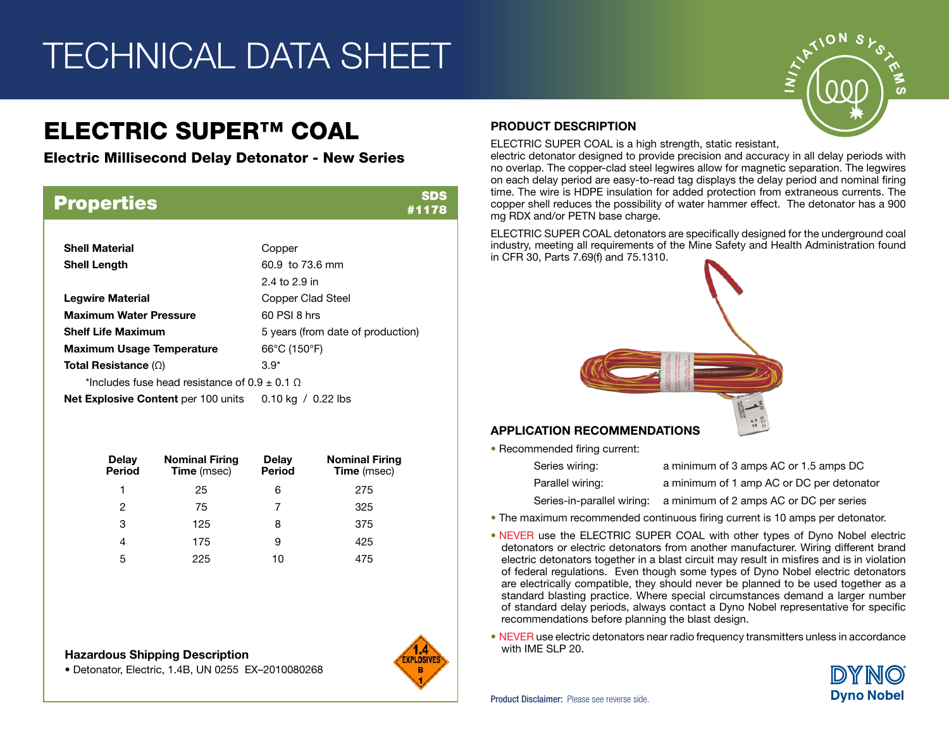# TECHNICAL DATA SHEET

## ELECTRIC SUPER™ COAL

Electric Millisecond Delay Detonator - New Series

| <b>Properties</b>                               | SDS<br>#1178                           |  |  |  |  |
|-------------------------------------------------|----------------------------------------|--|--|--|--|
|                                                 |                                        |  |  |  |  |
| <b>Shell Material</b>                           | Copper                                 |  |  |  |  |
| <b>Shell Length</b>                             | 60.9 to 73.6 mm                        |  |  |  |  |
|                                                 | 2.4 to 2.9 in                          |  |  |  |  |
| <b>Legwire Material</b>                         | <b>Copper Clad Steel</b>               |  |  |  |  |
| <b>Maximum Water Pressure</b>                   | 60 PSI 8 hrs                           |  |  |  |  |
| <b>Shelf Life Maximum</b>                       | 5 years (from date of production)      |  |  |  |  |
| <b>Maximum Usage Temperature</b>                | $66^{\circ}$ C (150 $^{\circ}$ F)      |  |  |  |  |
| Total Resistance $(\Omega)$                     | $3.9*$                                 |  |  |  |  |
| *Includes fuse head resistance of $0.9 + 0.1$ O |                                        |  |  |  |  |
| <b>Net Explosive Content</b> per 100 units      | $0.10 \text{ kg}$ / $0.22 \text{ lbs}$ |  |  |  |  |

| Delay<br><b>Period</b> | <b>Nominal Firing</b><br><b>Time</b> (msec) | Delay<br><b>Period</b> | <b>Nominal Firing</b><br><b>Time</b> (msec) |
|------------------------|---------------------------------------------|------------------------|---------------------------------------------|
| 1                      | 25                                          | 6                      | 275                                         |
| 2                      | 75                                          |                        | 325                                         |
| 3                      | 125                                         | 8                      | 375                                         |
| 4                      | 175                                         | 9                      | 425                                         |
| 5                      | 225                                         | 10                     | 475                                         |

## Hazardous Shipping Description **Example 20.** Maxwell All the SLP 20.

• Detonator, Electric, 1.4B, UN 0255 EX–2010080268



## PRODUCT DESCRIPTION

ELECTRIC SUPER COAL is a high strength, static resistant,

electric detonator designed to provide precision and accuracy in all delay periods with no overlap. The copper-clad steel legwires allow for magnetic separation. The legwires on each delay period are easy-to-read tag displays the delay period and nominal firing time. The wire is HDPE insulation for added protection from extraneous currents. The copper shell reduces the possibility of water hammer effect. The detonator has a 900 mg RDX and/or PETN base charge.

ELECTRIC SUPER COAL detonators are specifically designed for the underground coal industry, meeting all requirements of the Mine Safety and Health Administration found in CFR 30, Parts 7.69(f) and 75.1310.



## APPLICATION RECOMMENDATIONS

• Recommended firing current:

| Series wiring:             | a minimum of 3 amps AC or 1.5 amps DC     |
|----------------------------|-------------------------------------------|
| Parallel wiring:           | a minimum of 1 amp AC or DC per detonator |
| Series-in-parallel wiring: | a minimum of 2 amps AC or DC per series   |

- The maximum recommended continuous firing current is 10 amps per detonator.
- NEVER use the ELECTRIC SUPER COAL with other types of Dyno Nobel electric detonators or electric detonators from another manufacturer. Wiring different brand electric detonators together in a blast circuit may result in misfires and is in violation of federal regulations. Even though some types of Dyno Nobel electric detonators are electrically compatible, they should never be planned to be used together as a standard blasting practice. Where special circumstances demand a larger number of standard delay periods, always contact a Dyno Nobel representative for specific recommendations before planning the blast design.
- NEVER use electric detonators near radio frequency transmitters unless in accordance